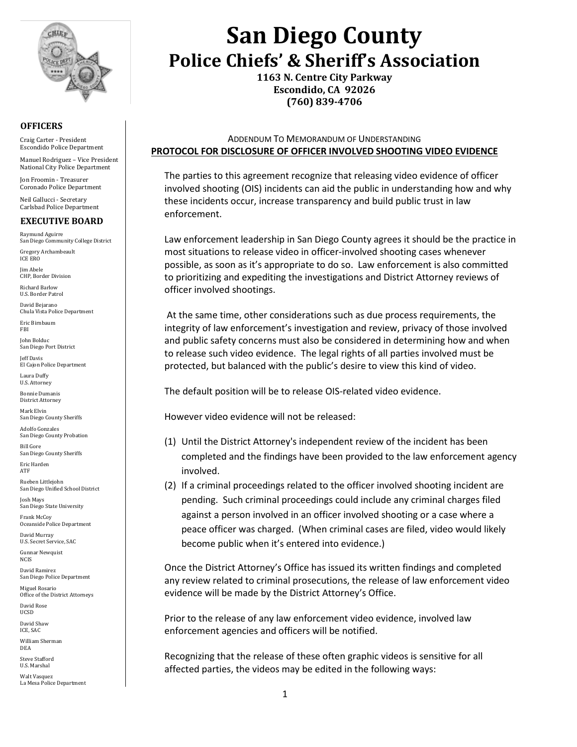

#### **OFFICERS**

Craig Carter - President Escondido Police Department

Manuel Rodriguez – Vice President National City Police Department

Jon Froomin - Treasurer Coronado Police Department

Neil Gallucci - Secretary Carlsbad Police Department

### **EXECUTIVE BOARD**

Raymund Aguirre San Diego Community College District

Gregory Archambeault ICE ERO

Jim Abele CHP, Border Division

Richard Barlow U.S. Border Patrol

David Bejarano Chula Vista Police Department

Eric Birnbaum FBI

John Bolduc San Diego Port District

Jeff Davis El Cajon Police Department Laura Duffy

U.S. Attorney

Bonnie Dumanis District Attorney

Mark Elvin San Diego County Sheriffs

Adolfo Gonzales San Diego County Probation Bill Gore

San Diego County Sheriffs Eric Harden ATF

Rueben Littlejohn San Diego Unified School District

Josh Mays San Diego State University

Frank McCoy Oceanside Police Department

David Murray U.S. Secret Service, SAC Gunnar Newquist

NCIS David Ramirez

San Diego Police Department

Miguel Rosario Office of the District Attorneys David Rose

UCSD

David Shaw ICE, SAC

William Sherman DEA

Steve Stafford U.S. Marshal

Walt Vasquez La Mesa Police Department

# **San Diego County Police Chiefs' & Sheriff's Association**

**1163 N. Centre City Parkway Escondido, CA 92026 (760) 839-4706**

ADDENDUM TO MEMORANDUM OF UNDERSTANDING **PROTOCOL FOR DISCLOSURE OF OFFICER INVOLVED SHOOTING VIDEO EVIDENCE**

The parties to this agreement recognize that releasing video evidence of officer involved shooting (OIS) incidents can aid the public in understanding how and why these incidents occur, increase transparency and build public trust in law enforcement.

Law enforcement leadership in San Diego County agrees it should be the practice in most situations to release video in officer-involved shooting cases whenever possible, as soon as it's appropriate to do so. Law enforcement is also committed to prioritizing and expediting the investigations and District Attorney reviews of officer involved shootings.

At the same time, other considerations such as due process requirements, the integrity of law enforcement's investigation and review, privacy of those involved and public safety concerns must also be considered in determining how and when to release such video evidence. The legal rights of all parties involved must be protected, but balanced with the public's desire to view this kind of video.

The default position will be to release OIS-related video evidence.

However video evidence will not be released:

- (1) Until the District Attorney's independent review of the incident has been completed and the findings have been provided to the law enforcement agency involved.
- (2) If a criminal proceedings related to the officer involved shooting incident are pending. Such criminal proceedings could include any criminal charges filed against a person involved in an officer involved shooting or a case where a peace officer was charged. (When criminal cases are filed, video would likely become public when it's entered into evidence.)

Once the District Attorney's Office has issued its written findings and completed any review related to criminal prosecutions, the release of law enforcement video evidence will be made by the District Attorney's Office.

Prior to the release of any law enforcement video evidence, involved law enforcement agencies and officers will be notified.

Recognizing that the release of these often graphic videos is sensitive for all affected parties, the videos may be edited in the following ways: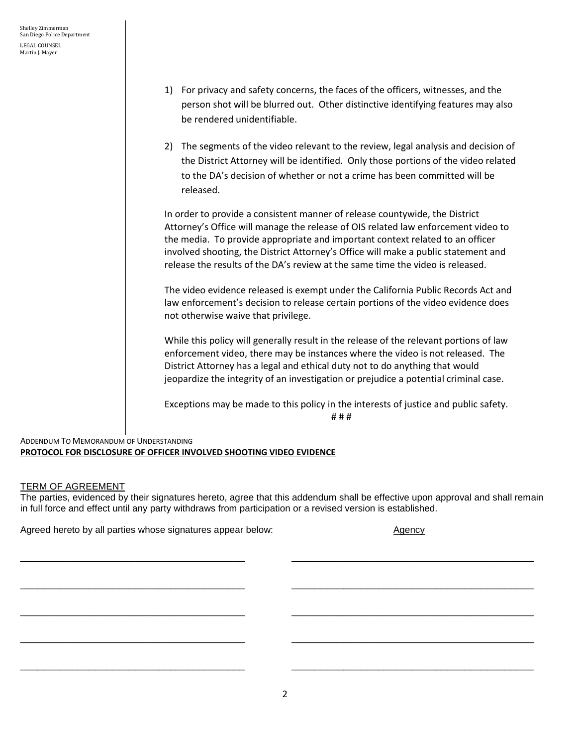- 1) For privacy and safety concerns, the faces of the officers, witnesses, and the person shot will be blurred out. Other distinctive identifying features may also be rendered unidentifiable.
- 2) The segments of the video relevant to the review, legal analysis and decision of the District Attorney will be identified. Only those portions of the video related to the DA's decision of whether or not a crime has been committed will be released.

In order to provide a consistent manner of release countywide, the District Attorney's Office will manage the release of OIS related law enforcement video to the media. To provide appropriate and important context related to an officer involved shooting, the District Attorney's Office will make a public statement and release the results of the DA's review at the same time the video is released.

The video evidence released is exempt under the California Public Records Act and law enforcement's decision to release certain portions of the video evidence does not otherwise waive that privilege.

While this policy will generally result in the release of the relevant portions of law enforcement video, there may be instances where the video is not released. The District Attorney has a legal and ethical duty not to do anything that would jeopardize the integrity of an investigation or prejudice a potential criminal case.

Exceptions may be made to this policy in the interests of justice and public safety. # # #

### ADDENDUM TO MEMORANDUM OF UNDERSTANDING **PROTOCOL FOR DISCLOSURE OF OFFICER INVOLVED SHOOTING VIDEO EVIDENCE**

## TERM OF AGREEMENT

The parties, evidenced by their signatures hereto, agree that this addendum shall be effective upon approval and shall remain in full force and effect until any party withdraws from participation or a revised version is established.

\_\_\_\_\_\_\_\_\_\_\_\_\_\_\_\_\_\_\_\_\_\_\_\_\_\_\_\_\_\_\_\_\_\_\_\_\_\_\_ \_\_\_\_\_\_\_\_\_\_\_\_\_\_\_\_\_\_\_\_\_\_\_\_\_\_\_\_\_\_\_\_\_\_\_\_\_\_\_\_\_\_

\_\_\_\_\_\_\_\_\_\_\_\_\_\_\_\_\_\_\_\_\_\_\_\_\_\_\_\_\_\_\_\_\_\_\_\_\_\_\_ \_\_\_\_\_\_\_\_\_\_\_\_\_\_\_\_\_\_\_\_\_\_\_\_\_\_\_\_\_\_\_\_\_\_\_\_\_\_\_\_\_\_

\_\_\_\_\_\_\_\_\_\_\_\_\_\_\_\_\_\_\_\_\_\_\_\_\_\_\_\_\_\_\_\_\_\_\_\_\_\_\_ \_\_\_\_\_\_\_\_\_\_\_\_\_\_\_\_\_\_\_\_\_\_\_\_\_\_\_\_\_\_\_\_\_\_\_\_\_\_\_\_\_\_

\_\_\_\_\_\_\_\_\_\_\_\_\_\_\_\_\_\_\_\_\_\_\_\_\_\_\_\_\_\_\_\_\_\_\_\_\_\_\_ \_\_\_\_\_\_\_\_\_\_\_\_\_\_\_\_\_\_\_\_\_\_\_\_\_\_\_\_\_\_\_\_\_\_\_\_\_\_\_\_\_\_

\_\_\_\_\_\_\_\_\_\_\_\_\_\_\_\_\_\_\_\_\_\_\_\_\_\_\_\_\_\_\_\_\_\_\_\_\_\_\_ \_\_\_\_\_\_\_\_\_\_\_\_\_\_\_\_\_\_\_\_\_\_\_\_\_\_\_\_\_\_\_\_\_\_\_\_\_\_\_\_\_\_

Agreed hereto by all parties whose signatures appear below: Agency Agency